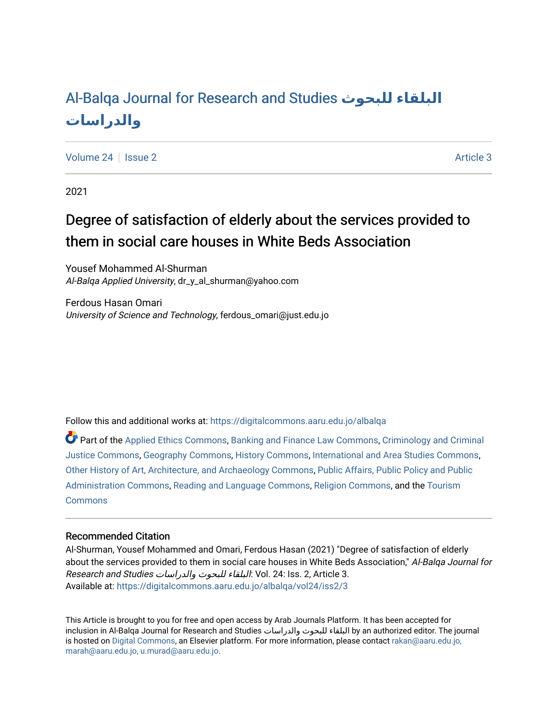# [Al-Balqa Journal for Research and Studies](https://digitalcommons.aaru.edu.jo/albalqa) **للبحوث البلقاء [والدراسات](https://digitalcommons.aaru.edu.jo/albalqa)**

[Volume 24](https://digitalcommons.aaru.edu.jo/albalqa/vol24) | [Issue 2](https://digitalcommons.aaru.edu.jo/albalqa/vol24/iss2) Article 3

2021

# Degree of satisfaction of elderly about the services provided to them in social care houses in White Beds Association

Yousef Mohammed Al-Shurman Al-Balqa Applied University, dr\_y\_al\_shurman@yahoo.com

Ferdous Hasan Omari University of Science and Technology, ferdous\_omari@just.edu.jo

Follow this and additional works at: [https://digitalcommons.aaru.edu.jo/albalqa](https://digitalcommons.aaru.edu.jo/albalqa?utm_source=digitalcommons.aaru.edu.jo%2Falbalqa%2Fvol24%2Fiss2%2F3&utm_medium=PDF&utm_campaign=PDFCoverPages) 

Part of the [Applied Ethics Commons](https://network.bepress.com/hgg/discipline/1392?utm_source=digitalcommons.aaru.edu.jo%2Falbalqa%2Fvol24%2Fiss2%2F3&utm_medium=PDF&utm_campaign=PDFCoverPages), [Banking and Finance Law Commons](https://network.bepress.com/hgg/discipline/833?utm_source=digitalcommons.aaru.edu.jo%2Falbalqa%2Fvol24%2Fiss2%2F3&utm_medium=PDF&utm_campaign=PDFCoverPages), [Criminology and Criminal](https://network.bepress.com/hgg/discipline/367?utm_source=digitalcommons.aaru.edu.jo%2Falbalqa%2Fvol24%2Fiss2%2F3&utm_medium=PDF&utm_campaign=PDFCoverPages) [Justice Commons](https://network.bepress.com/hgg/discipline/367?utm_source=digitalcommons.aaru.edu.jo%2Falbalqa%2Fvol24%2Fiss2%2F3&utm_medium=PDF&utm_campaign=PDFCoverPages), [Geography Commons,](https://network.bepress.com/hgg/discipline/354?utm_source=digitalcommons.aaru.edu.jo%2Falbalqa%2Fvol24%2Fiss2%2F3&utm_medium=PDF&utm_campaign=PDFCoverPages) [History Commons,](https://network.bepress.com/hgg/discipline/489?utm_source=digitalcommons.aaru.edu.jo%2Falbalqa%2Fvol24%2Fiss2%2F3&utm_medium=PDF&utm_campaign=PDFCoverPages) [International and Area Studies Commons,](https://network.bepress.com/hgg/discipline/360?utm_source=digitalcommons.aaru.edu.jo%2Falbalqa%2Fvol24%2Fiss2%2F3&utm_medium=PDF&utm_campaign=PDFCoverPages) [Other History of Art, Architecture, and Archaeology Commons](https://network.bepress.com/hgg/discipline/517?utm_source=digitalcommons.aaru.edu.jo%2Falbalqa%2Fvol24%2Fiss2%2F3&utm_medium=PDF&utm_campaign=PDFCoverPages), [Public Affairs, Public Policy and Public](https://network.bepress.com/hgg/discipline/393?utm_source=digitalcommons.aaru.edu.jo%2Falbalqa%2Fvol24%2Fiss2%2F3&utm_medium=PDF&utm_campaign=PDFCoverPages)  [Administration Commons,](https://network.bepress.com/hgg/discipline/393?utm_source=digitalcommons.aaru.edu.jo%2Falbalqa%2Fvol24%2Fiss2%2F3&utm_medium=PDF&utm_campaign=PDFCoverPages) [Reading and Language Commons](https://network.bepress.com/hgg/discipline/1037?utm_source=digitalcommons.aaru.edu.jo%2Falbalqa%2Fvol24%2Fiss2%2F3&utm_medium=PDF&utm_campaign=PDFCoverPages), [Religion Commons,](https://network.bepress.com/hgg/discipline/538?utm_source=digitalcommons.aaru.edu.jo%2Falbalqa%2Fvol24%2Fiss2%2F3&utm_medium=PDF&utm_campaign=PDFCoverPages) and the [Tourism](https://network.bepress.com/hgg/discipline/1022?utm_source=digitalcommons.aaru.edu.jo%2Falbalqa%2Fvol24%2Fiss2%2F3&utm_medium=PDF&utm_campaign=PDFCoverPages) [Commons](https://network.bepress.com/hgg/discipline/1022?utm_source=digitalcommons.aaru.edu.jo%2Falbalqa%2Fvol24%2Fiss2%2F3&utm_medium=PDF&utm_campaign=PDFCoverPages)

## Recommended Citation

Al-Shurman, Yousef Mohammed and Omari, Ferdous Hasan (2021) "Degree of satisfaction of elderly about the services provided to them in social care houses in White Beds Association," Al-Balqa Journal for Research and Studies والدراسات للبحوث البلقاء: Vol. 24: Iss. 2, Article 3. Available at: [https://digitalcommons.aaru.edu.jo/albalqa/vol24/iss2/3](https://digitalcommons.aaru.edu.jo/albalqa/vol24/iss2/3?utm_source=digitalcommons.aaru.edu.jo%2Falbalqa%2Fvol24%2Fiss2%2F3&utm_medium=PDF&utm_campaign=PDFCoverPages) 

This Article is brought to you for free and open access by Arab Journals Platform. It has been accepted for inclusion in Al-Balqa Journal for Research and Studies والدراسات للبحوث البلقاء by an authorized editor. The journal is hosted on [Digital Commons](https://www.elsevier.com/solutions/digital-commons), an Elsevier platform. For more information, please contact [rakan@aaru.edu.jo,](mailto:rakan@aaru.edu.jo,%20marah@aaru.edu.jo,%20u.murad@aaru.edu.jo)  [marah@aaru.edu.jo, u.murad@aaru.edu.jo.](mailto:rakan@aaru.edu.jo,%20marah@aaru.edu.jo,%20u.murad@aaru.edu.jo)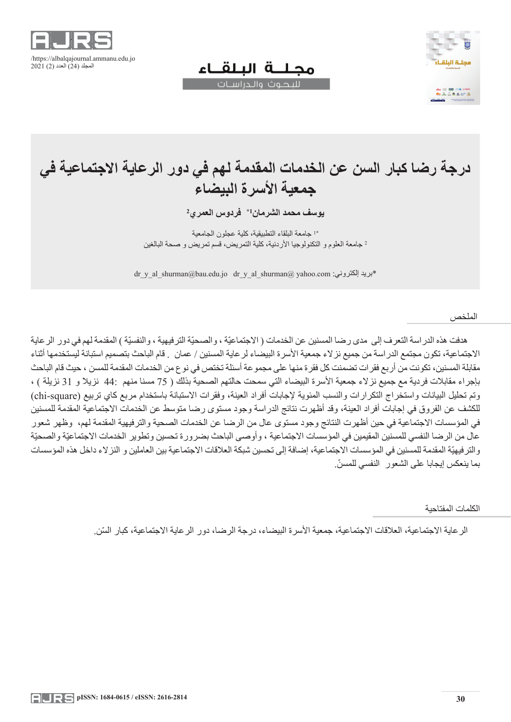



# **درجة رضا كبار السن عن الخدمات المقدمة لهم في دور الرعاية االجتماعية في جمعية األسرة البيضاء**

مجللة البلقاء لليحوث والحراسيات

**2 1\* فردوس العمري يوسف محمد الشرمان**

\*1 جامعة البلقاء التطبيقية، كلية عجلون الجامعية <sup>2</sup> جامعة العلوم و التكنولوجيا األردنية، كلية التمريض، قسم تمريض و صحة البالغين

dr\_y\_al\_shurman@bau.edu.jo dr\_y\_al\_shurman@ yahoo.com :بريد الكتروني ب

الملخص

هدفت هذه الدراسة التعرف إلى مدى رضا المسنين عن الخدمات ( الاجتماعيّة ، والصحيّة الترفيهية ، والنفسيّة ) المقدمة لهم في دور الرعاية االجتماعية، تكون مجتمع الدراسة من جميع نزالء جمعية األسرة البيضاء لرعاية المسنين / عمان . قام الباحث بتصميم استبانة ليستخدمها أثناء مقابلة المسنين، تكونت من أربع فقرات تضمنت كل فقرة منها على مجموعة أسئلة تختص في نوع من الخدمات المقدمة للمسن ، حيث قام الباحث بإجراء مقابلات فردية مع جميع نزلاء جمعية الأسرة البيضاء التي سمحت حالتهم الصحية بذلك ( 75 مسنا منهم :44 نزيلا و 31 نزيلة ) ، وتم تحليل البيانات واستخراج التكرارات والنسب المئوية لإجابات أفراد العينة، وفقرات الاستبانة باستخدام مربع كاي تربيع (chi-square) للكشف عن الفروق في إجابات أفراد العينة، وقد أظهرت نتائج الدراسة وجود مستوى رضا متوسط عن الخدمات االجتماعية المقدمة للمسنين في المؤسسات االجتماعية في حين أظهرت النتائج وجود مستوى عال من الرضا عن الخدمات الصحية والترفيهية المقدمة لهم، وظهر شعور عال من الرضا النفسي للمسنين المقيمين في المؤسسات الاجتماعية ، وأوصىي الباحث بضرورة تحسين وتطوير الخدمات الاجتماعيّة والصحيّة والترفيهيّة المقدمة للمسنين في المؤسسات الاجتماعية، إضافة إلى تحسين شبكة العلاقات الاجتماعية بين العاملين و النز لاء داخل هذه المؤسسات ّ بما ينعكس إيجابا على الشعور النفسي للمسن.

الكلمات المفتاحية

الر عاية الاجتماعية، العلاقات الاجتماعية، جمعية الأسر ة البيضاء، در جة الر ضا، دور الر عاية الاجتماعية، كبار السّن.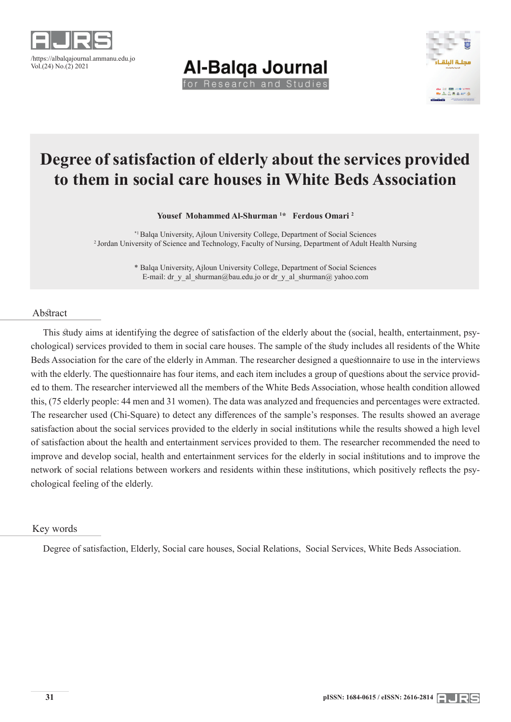

**Al-Balga Journal** for Research and Studies



# **Degree of satisfaction of elderly about the services provided to them in social care houses in White Beds Association**

**Yousef Mohammed Al-Shurman 1 \* Ferdous Omari 2**

\*1 Balqa University, Ajloun University College, Department of Social Sciences 2 Jordan University of Science and Technology, Faculty of Nursing, Department of Adult Health Nursing

> \* Balqa University, Ajloun University College, Department of Social Sciences E-mail: dr\_y\_al\_shurman@bau.edu.jo or dr\_y\_al\_shurman@ yahoo.com

#### Abstract

This study aims at identifying the degree of satisfaction of the elderly about the (social, health, entertainment, psychological) services provided to them in social care houses. The sample of the study includes all residents of the White Beds Association for the care of the elderly in Amman. The researcher designed a questionnaire to use in the interviews with the elderly. The questionnaire has four items, and each item includes a group of questions about the service provided to them. The researcher interviewed all the members of the White Beds Association, whose health condition allowed this, (75 elderly people: 44 men and 31 women). The data was analyzed and frequencies and percentages were extracted. The researcher used (Chi-Square) to detect any differences of the sample's responses. The results showed an average satisfaction about the social services provided to the elderly in social institutions while the results showed a high level of satisfaction about the health and entertainment services provided to them. The researcher recommended the need to improve and develop social, health and entertainment services for the elderly in social institutions and to improve the network of social relations between workers and residents within these institutions, which positively reflects the psychological feeling of the elderly.

#### Key words

Degree of satisfaction, Elderly, Social care houses, Social Relations, Social Services, White Beds Association.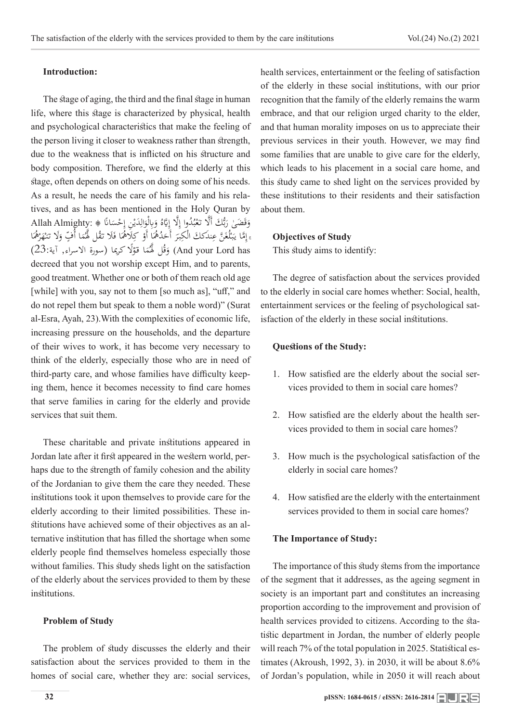#### **Introduction:**

The stage of aging, the third and the final stage in human life, where this stage is characterized by physical, health and psychological characteristics that make the feeling of the person living it closer to weakness rather than strength, due to the weakness that is inflicted on his structure and body composition. Therefore, we find the elderly at this stage, often depends on others on doing some of his needs. As a result, he needs the care of his family and his relatives, and as has been mentioned in the Holy Quran by وَقَضَىٰ رَبُّكَ أَلَّا تَعْبُدُوا إِلَّا إِيَّاهُ وَبِالْوَالِدَيْنِ إِحْسَانًا ۞ :Allah Almighty<br>اتَّار الْمَرْكَبِيَّاتِ الْمَرْكَبِينَ وَمُرْكَبٍ وَمُرْكَبٍ وَالْمَرْكَبِينَ وَالْمَرْكَبَةُ الْمَرْكَبَةُ و <u>ب</u><br>: و<br>د ہ<br>پر ِ ب ا<br>ر ا<br>ا بر<br>با ر<br>بر َ ا ْ ُه َر ه نـ َل تـ ٍ و َا أُ ّف م ُ َّل ل ق ََل تـ َا ف َل ُه ْ ك َا أَو ُ ُه َد َ أَح ر بـ ْك ند َكك ال َ ِ َ َّن ع ُغ ل بـ َّما يـ ۚ إ ً<br>ٌ .<br>ا .<br>أ َ ا<br>ا َ ِ الم<br>ا  $\leq$ ِّ :<br>: ا<br>إ قُلْ لَهُمَا قَوْلًا كَرِيما (سورة الاسراء, آية:23) (23)<br>مُقَامَّة الْقَامَة الْمَدَّافِينَ الْمَدَّافِينَ الْمَدَّافِينَ الْمَدَّافِينَ ْ ٔ ب َ decreed that you not worship except Him, and to parents, good treatment. Whether one or both of them reach old age [while] with you, say not to them [so much as], "uff," and do not repel them but speak to them a noble word)" (Surat al-Esra, Ayah, 23).With the complexities of economic life, increasing pressure on the households, and the departure of their wives to work, it has become very necessary to think of the elderly, especially those who are in need of third-party care, and whose families have difficulty keeping them, hence it becomes necessity to find care homes that serve families in caring for the elderly and provide services that suit them.

These charitable and private institutions appeared in Jordan late after it first appeared in the western world, perhaps due to the strength of family cohesion and the ability of the Jordanian to give them the care they needed. These institutions took it upon themselves to provide care for the elderly according to their limited possibilities. These institutions have achieved some of their objectives as an alternative institution that has filled the shortage when some elderly people find themselves homeless especially those without families. This study sheds light on the satisfaction of the elderly about the services provided to them by these institutions.

#### **Problem of Study**

The problem of study discusses the elderly and their satisfaction about the services provided to them in the homes of social care, whether they are: social services,

health services, entertainment or the feeling of satisfaction of the elderly in these social institutions, with our prior recognition that the family of the elderly remains the warm embrace, and that our religion urged charity to the elder, and that human morality imposes on us to appreciate their previous services in their youth. However, we may find some families that are unable to give care for the elderly, which leads to his placement in a social care home, and this study came to shed light on the services provided by these institutions to their residents and their satisfaction about them.

#### **Objectives of Study**

This study aims to identify:

The degree of satisfaction about the services provided to the elderly in social care homes whether: Social, health, entertainment services or the feeling of psychological satisfaction of the elderly in these social institutions.

#### **Questions of the Study:**

- 1. How satisfied are the elderly about the social services provided to them in social care homes?
- 2. How satisfied are the elderly about the health services provided to them in social care homes?
- 3. How much is the psychological satisfaction of the elderly in social care homes?
- 4. How satisfied are the elderly with the entertainment services provided to them in social care homes?

#### **The Importance of Study:**

The importance of this study stems from the importance of the segment that it addresses, as the ageing segment in society is an important part and constitutes an increasing proportion according to the improvement and provision of health services provided to citizens. According to the statistic department in Jordan, the number of elderly people will reach 7% of the total population in 2025. Statistical estimates (Akroush, 1992, 3). in 2030, it will be about 8.6% of Jordan's population, while in 2050 it will reach about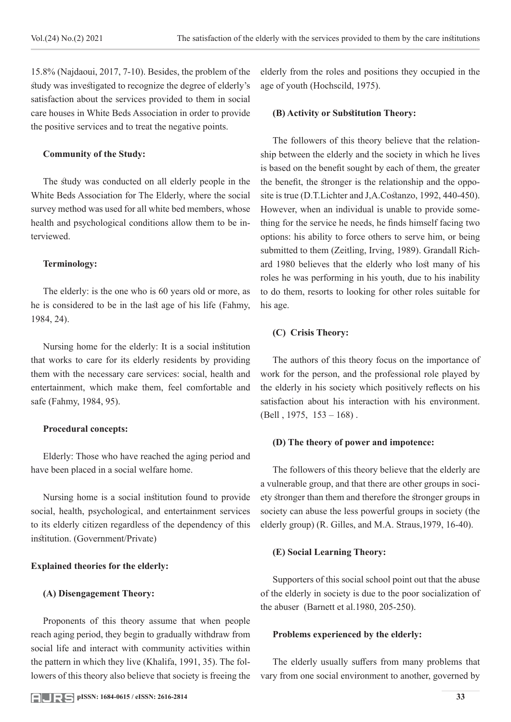15.8% (Najdaoui, 2017, 7-10). Besides, the problem of the study was investigated to recognize the degree of elderly's satisfaction about the services provided to them in social care houses in White Beds Association in order to provide the positive services and to treat the negative points.

# **Community of the Study:**

The study was conducted on all elderly people in the White Beds Association for The Elderly, where the social survey method was used for all white bed members, whose health and psychological conditions allow them to be interviewed.

# **Terminology:**

The elderly: is the one who is 60 years old or more, as he is considered to be in the last age of his life (Fahmy, 1984, 24).

Nursing home for the elderly: It is a social institution that works to care for its elderly residents by providing them with the necessary care services: social, health and entertainment, which make them, feel comfortable and safe (Fahmy, 1984, 95).

## **Procedural concepts:**

Elderly: Those who have reached the aging period and have been placed in a social welfare home.

Nursing home is a social institution found to provide social, health, psychological, and entertainment services to its elderly citizen regardless of the dependency of this institution. (Government/Private)

## **Explained theories for the elderly:**

## **(A) Disengagement Theory:**

Proponents of this theory assume that when people reach aging period, they begin to gradually withdraw from social life and interact with community activities within the pattern in which they live (Khalifa, 1991, 35). The followers of this theory also believe that society is freeing the

elderly from the roles and positions they occupied in the age of youth (Hochscild, 1975).

# **(B) Activity or Substitution Theory:**

The followers of this theory believe that the relationship between the elderly and the society in which he lives is based on the benefit sought by each of them, the greater the benefit, the stronger is the relationship and the opposite is true (D.T.Lichter and J,A.Costanzo, 1992, 440-450). However, when an individual is unable to provide something for the service he needs, he finds himself facing two options: his ability to force others to serve him, or being submitted to them (Zeitling, Irving, 1989). Grandall Richard 1980 believes that the elderly who lost many of his roles he was performing in his youth, due to his inability to do them, resorts to looking for other roles suitable for his age.

# **(C) Crisis Theory:**

The authors of this theory focus on the importance of work for the person, and the professional role played by the elderly in his society which positively reflects on his satisfaction about his interaction with his environment. (Bell , 1975, 153 – 168) .

## **(D) The theory of power and impotence:**

The followers of this theory believe that the elderly are a vulnerable group, and that there are other groups in society stronger than them and therefore the stronger groups in society can abuse the less powerful groups in society (the elderly group) (R. Gilles, and M.A. Straus,1979, 16-40).

# **(E) Social Learning Theory:**

Supporters of this social school point out that the abuse of the elderly in society is due to the poor socialization of the abuser (Barnett et al.1980, 205-250).

## **Problems experienced by the elderly:**

The elderly usually suffers from many problems that vary from one social environment to another, governed by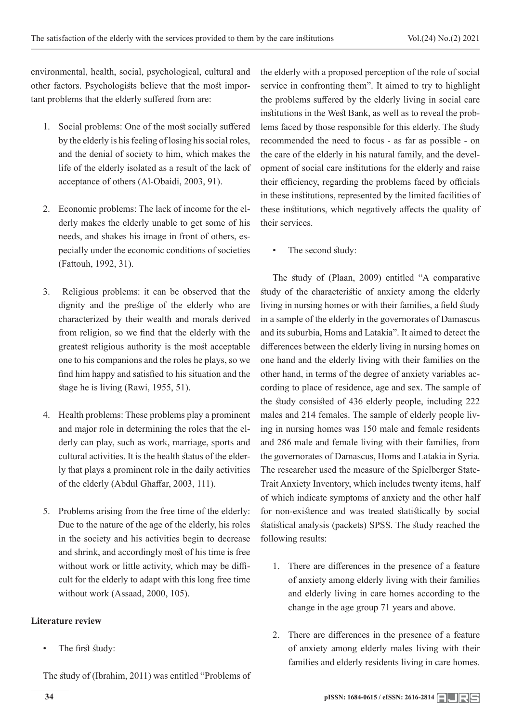environmental, health, social, psychological, cultural and other factors. Psychologists believe that the most important problems that the elderly suffered from are:

- 1. Social problems: One of the most socially suffered by the elderly is his feeling of losing his social roles, and the denial of society to him, which makes the life of the elderly isolated as a result of the lack of acceptance of others (Al-Obaidi, 2003, 91).
- 2. Economic problems: The lack of income for the elderly makes the elderly unable to get some of his needs, and shakes his image in front of others, especially under the economic conditions of societies (Fattouh, 1992, 31).
- 3. Religious problems: it can be observed that the dignity and the prestige of the elderly who are characterized by their wealth and morals derived from religion, so we find that the elderly with the greatest religious authority is the most acceptable one to his companions and the roles he plays, so we find him happy and satisfied to his situation and the stage he is living (Rawi, 1955, 51).
- 4. Health problems: These problems play a prominent and major role in determining the roles that the elderly can play, such as work, marriage, sports and cultural activities. It is the health status of the elderly that plays a prominent role in the daily activities of the elderly (Abdul Ghaffar, 2003, 111).
- 5. Problems arising from the free time of the elderly: Due to the nature of the age of the elderly, his roles in the society and his activities begin to decrease and shrink, and accordingly most of his time is free without work or little activity, which may be difficult for the elderly to adapt with this long free time without work (Assaad, 2000, 105).

# **Literature review**

The first study:

The study of (Ibrahim, 2011) was entitled "Problems of

the elderly with a proposed perception of the role of social service in confronting them". It aimed to try to highlight the problems suffered by the elderly living in social care institutions in the West Bank, as well as to reveal the problems faced by those responsible for this elderly. The study recommended the need to focus - as far as possible - on the care of the elderly in his natural family, and the development of social care institutions for the elderly and raise their efficiency, regarding the problems faced by officials in these institutions, represented by the limited facilities of these institutions, which negatively affects the quality of their services.

The second study:

The study of (Plaan, 2009) entitled "A comparative study of the characteristic of anxiety among the elderly living in nursing homes or with their families, a field study in a sample of the elderly in the governorates of Damascus and its suburbia, Homs and Latakia". It aimed to detect the differences between the elderly living in nursing homes on one hand and the elderly living with their families on the other hand, in terms of the degree of anxiety variables according to place of residence, age and sex. The sample of the study consisted of 436 elderly people, including 222 males and 214 females. The sample of elderly people living in nursing homes was 150 male and female residents and 286 male and female living with their families, from the governorates of Damascus, Homs and Latakia in Syria. The researcher used the measure of the Spielberger State-Trait Anxiety Inventory, which includes twenty items, half of which indicate symptoms of anxiety and the other half for non-existence and was treated statistically by social statistical analysis (packets) SPSS. The study reached the following results:

- 1. There are differences in the presence of a feature of anxiety among elderly living with their families and elderly living in care homes according to the change in the age group 71 years and above.
- 2. There are differences in the presence of a feature of anxiety among elderly males living with their families and elderly residents living in care homes.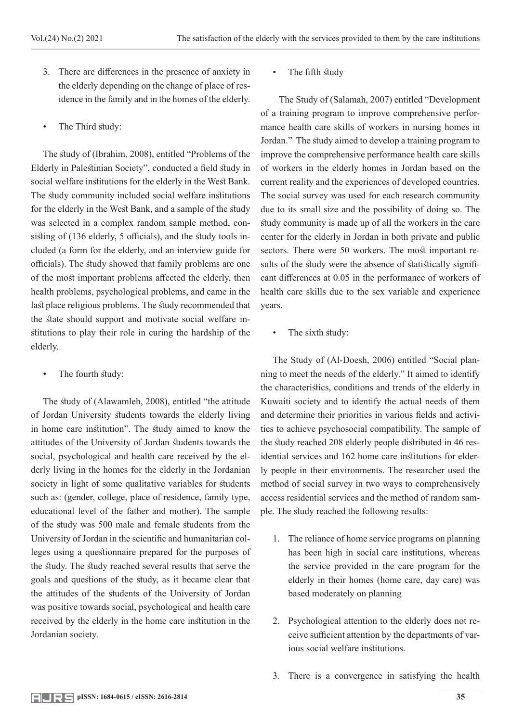- 3. There are differences in the presence of anxiety in the elderly depending on the change of place of residence in the family and in the homes of the elderly.
- The Third study:

The study of (Ibrahim, 2008), entitled "Problems of the Elderly in Palestinian Society", conducted a field study in social welfare institutions for the elderly in the West Bank. The study community included social welfare institutions for the elderly in the West Bank, and a sample of the study was selected in a complex random sample method, consisting of (136 elderly, 5 officials), and the study tools included (a form for the elderly, and an interview guide for officials). The study showed that family problems are one of the most important problems affected the elderly, then health problems, psychological problems, and came in the last place religious problems. The study recommended that the state should support and motivate social welfare institutions to play their role in curing the hardship of the elderly.

• The fourth study:

The study of (Alawamleh, 2008), entitled "the attitude of Jordan University students towards the elderly living in home care institution". The study aimed to know the attitudes of the University of Jordan students towards the social, psychological and health care received by the elderly living in the homes for the elderly in the Jordanian society in light of some qualitative variables for students such as: (gender, college, place of residence, family type, educational level of the father and mother). The sample of the study was 500 male and female students from the University of Jordan in the scientific and humanitarian colleges using a questionnaire prepared for the purposes of the study. The study reached several results that serve the goals and questions of the study, as it became clear that the attitudes of the students of the University of Jordan was positive towards social, psychological and health care received by the elderly in the home care institution in the Jordanian society.

The fifth study

 The Study of (Salamah, 2007) entitled "Development of a training program to improve comprehensive performance health care skills of workers in nursing homes in Jordan." The study aimed to develop a training program to improve the comprehensive performance health care skills of workers in the elderly homes in Jordan based on the current reality and the experiences of developed countries. The social survey was used for each research community due to its small size and the possibility of doing so. The study community is made up of all the workers in the care center for the elderly in Jordan in both private and public sectors. There were 50 workers. The most important results of the study were the absence of statistically significant differences at 0.05 in the performance of workers of health care skills due to the sex variable and experience years.

The sixth study:

The Study of (Al-Doesh, 2006) entitled "Social planning to meet the needs of the elderly." It aimed to identify the characteristics, conditions and trends of the elderly in Kuwaiti society and to identify the actual needs of them and determine their priorities in various fields and activities to achieve psychosocial compatibility. The sample of the study reached 208 elderly people distributed in 46 residential services and 162 home care institutions for elderly people in their environments. The researcher used the method of social survey in two ways to comprehensively access residential services and the method of random sample. The study reached the following results:

- 1. The reliance of home service programs on planning has been high in social care institutions, whereas the service provided in the care program for the elderly in their homes (home care, day care) was based moderately on planning
- 2. Psychological attention to the elderly does not receive sufficient attention by the departments of various social welfare institutions.
- 3. There is a convergence in satisfying the health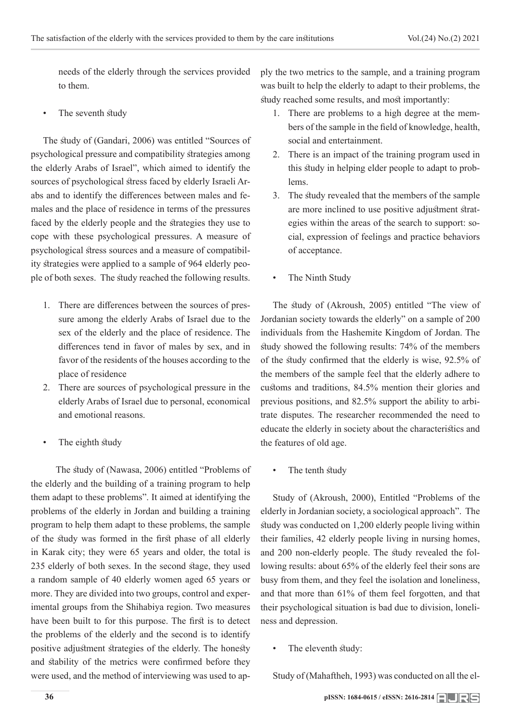needs of the elderly through the services provided to them.

The seventh study

The study of (Gandari, 2006) was entitled "Sources of psychological pressure and compatibility strategies among the elderly Arabs of Israel", which aimed to identify the sources of psychological stress faced by elderly Israeli Arabs and to identify the differences between males and females and the place of residence in terms of the pressures faced by the elderly people and the strategies they use to cope with these psychological pressures. A measure of psychological stress sources and a measure of compatibility strategies were applied to a sample of 964 elderly people of both sexes. The study reached the following results.

- 1. There are differences between the sources of pressure among the elderly Arabs of Israel due to the sex of the elderly and the place of residence. The differences tend in favor of males by sex, and in favor of the residents of the houses according to the place of residence
- 2. There are sources of psychological pressure in the elderly Arabs of Israel due to personal, economical and emotional reasons.
- The eighth study

 The study of (Nawasa, 2006) entitled "Problems of the elderly and the building of a training program to help them adapt to these problems". It aimed at identifying the problems of the elderly in Jordan and building a training program to help them adapt to these problems, the sample of the study was formed in the first phase of all elderly in Karak city; they were 65 years and older, the total is 235 elderly of both sexes. In the second stage, they used a random sample of 40 elderly women aged 65 years or more. They are divided into two groups, control and experimental groups from the Shihabiya region. Two measures have been built to for this purpose. The first is to detect the problems of the elderly and the second is to identify positive adjustment strategies of the elderly. The honesty and stability of the metrics were confirmed before they were used, and the method of interviewing was used to apply the two metrics to the sample, and a training program was built to help the elderly to adapt to their problems, the study reached some results, and most importantly:

- 1. There are problems to a high degree at the members of the sample in the field of knowledge, health, social and entertainment.
- 2. There is an impact of the training program used in this study in helping elder people to adapt to problems.
- 3. The study revealed that the members of the sample are more inclined to use positive adjustment strategies within the areas of the search to support: social, expression of feelings and practice behaviors of acceptance.
- The Ninth Study

The study of (Akroush, 2005) entitled "The view of Jordanian society towards the elderly" on a sample of 200 individuals from the Hashemite Kingdom of Jordan. The study showed the following results: 74% of the members of the study confirmed that the elderly is wise, 92.5% of the members of the sample feel that the elderly adhere to customs and traditions, 84.5% mention their glories and previous positions, and 82.5% support the ability to arbitrate disputes. The researcher recommended the need to educate the elderly in society about the characteristics and the features of old age.

• The tenth study

Study of (Akroush, 2000), Entitled "Problems of the elderly in Jordanian society, a sociological approach". The study was conducted on 1,200 elderly people living within their families, 42 elderly people living in nursing homes, and 200 non-elderly people. The study revealed the following results: about 65% of the elderly feel their sons are busy from them, and they feel the isolation and loneliness, and that more than 61% of them feel forgotten, and that their psychological situation is bad due to division, loneliness and depression.

The eleventh study:

Study of (Mahaftheh, 1993) was conducted on all the el-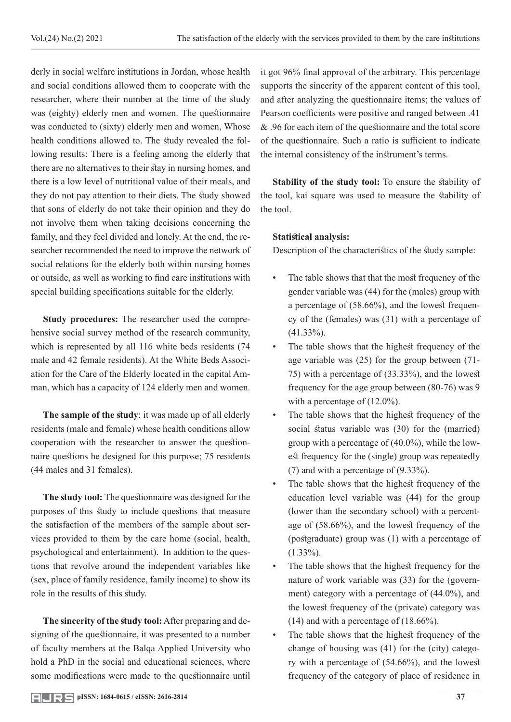derly in social welfare institutions in Jordan, whose health and social conditions allowed them to cooperate with the researcher, where their number at the time of the study was (eighty) elderly men and women. The questionnaire was conducted to (sixty) elderly men and women, Whose health conditions allowed to. The study revealed the following results: There is a feeling among the elderly that there are no alternatives to their stay in nursing homes, and there is a low level of nutritional value of their meals, and they do not pay attention to their diets. The study showed that sons of elderly do not take their opinion and they do not involve them when taking decisions concerning the family, and they feel divided and lonely. At the end, the researcher recommended the need to improve the network of social relations for the elderly both within nursing homes or outside, as well as working to find care institutions with special building specifications suitable for the elderly.

**Study procedures:** The researcher used the comprehensive social survey method of the research community, which is represented by all 116 white beds residents (74 male and 42 female residents). At the White Beds Association for the Care of the Elderly located in the capital Amman, which has a capacity of 124 elderly men and women.

**The sample of the study**: it was made up of all elderly residents (male and female) whose health conditions allow cooperation with the researcher to answer the questionnaire questions he designed for this purpose; 75 residents (44 males and 31 females).

**The study tool:** The questionnaire was designed for the purposes of this study to include questions that measure the satisfaction of the members of the sample about services provided to them by the care home (social, health, psychological and entertainment). In addition to the questions that revolve around the independent variables like (sex, place of family residence, family income) to show its role in the results of this study.

**The sincerity of the study tool:** After preparing and designing of the questionnaire, it was presented to a number of faculty members at the Balqa Applied University who hold a PhD in the social and educational sciences, where some modifications were made to the questionnaire until

it got 96% final approval of the arbitrary. This percentage supports the sincerity of the apparent content of this tool, and after analyzing the questionnaire items; the values of Pearson coefficients were positive and ranged between .41 & .96 for each item of the questionnaire and the total score of the questionnaire. Such a ratio is sufficient to indicate the internal consistency of the instrument's terms.

**Stability of the study tool:** To ensure the stability of the tool, kai square was used to measure the stability of the tool.

# **Statistical analysis:**

Description of the characteristics of the study sample:

- The table shows that that the most frequency of the gender variable was (44) for the (males) group with a percentage of (58.66%), and the lowest frequency of the (females) was (31) with a percentage of (41.33%).
- The table shows that the highest frequency of the age variable was (25) for the group between (71- 75) with a percentage of (33.33%), and the lowest frequency for the age group between (80-76) was 9 with a percentage of  $(12.0\%)$ .
- The table shows that the highest frequency of the social status variable was (30) for the (married) group with a percentage of (40.0%), while the lowest frequency for the (single) group was repeatedly (7) and with a percentage of (9.33%).
- The table shows that the highest frequency of the education level variable was (44) for the group (lower than the secondary school) with a percentage of (58.66%), and the lowest frequency of the (postgraduate) group was (1) with a percentage of  $(1.33\%)$ .
- The table shows that the highest frequency for the nature of work variable was (33) for the (government) category with a percentage of (44.0%), and the lowest frequency of the (private) category was (14) and with a percentage of (18.66%).
- The table shows that the highest frequency of the change of housing was (41) for the (city) category with a percentage of (54.66%), and the lowest frequency of the category of place of residence in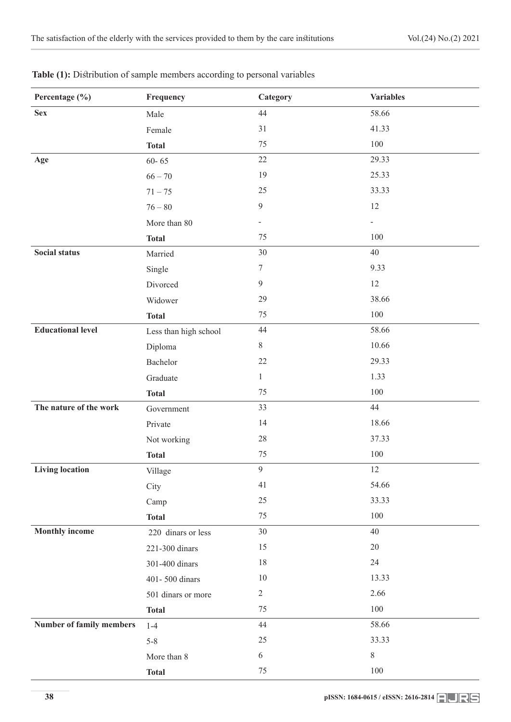| Percentage (%)                  | Frequency             | Category                     | <b>Variables</b> |
|---------------------------------|-----------------------|------------------------------|------------------|
| <b>Sex</b>                      | Male                  | 44                           | 58.66            |
|                                 | Female                | 31                           | 41.33            |
|                                 | <b>Total</b>          | 75                           | 100              |
| Age                             | $60 - 65$             | $22\,$                       | 29.33            |
|                                 | $66 - 70$             | 19                           | 25.33            |
|                                 | $71 - 75$             | 25                           | 33.33            |
|                                 | $76 - 80$             | $\boldsymbol{9}$             | 12               |
|                                 | More than 80          | $\qquad \qquad \blacksquare$ |                  |
|                                 | <b>Total</b>          | 75                           | 100              |
| <b>Social status</b>            | Married               | 30                           | 40               |
|                                 | Single                | $\boldsymbol{7}$             | 9.33             |
|                                 | Divorced              | $\mathfrak{g}$               | 12               |
|                                 | Widower               | 29                           | 38.66            |
|                                 | <b>Total</b>          | 75                           | 100              |
| <b>Educational level</b>        | Less than high school | 44                           | 58.66            |
|                                 | Diploma               | $8\,$                        | 10.66            |
|                                 | Bachelor              | 22                           | 29.33            |
|                                 | Graduate              | $\mathbf{1}$                 | 1.33             |
|                                 | <b>Total</b>          | 75                           | 100              |
| The nature of the work          | Government            | 33                           | 44               |
|                                 | Private               | 14                           | 18.66            |
|                                 | Not working           | $28\,$                       | 37.33            |
|                                 | <b>Total</b>          | 75                           | 100              |
| <b>Living location</b>          | Village               | $\mathfrak{g}$               | 12               |
|                                 | City                  | 41                           | 54.66            |
|                                 | Camp                  | 25                           | 33.33            |
|                                 | <b>Total</b>          | 75                           | 100              |
| <b>Monthly income</b>           | 220 dinars or less    | 30                           | 40               |
|                                 | 221-300 dinars        | 15                           | 20               |
|                                 | 301-400 dinars        | 18                           | 24               |
|                                 | 401-500 dinars        | 10                           | 13.33            |
|                                 | 501 dinars or more    | $\mathbf{2}$                 | 2.66             |
|                                 | <b>Total</b>          | 75                           | 100              |
| <b>Number of family members</b> | $1-4$                 | $44\,$                       | 58.66            |
|                                 | $5 - 8$               | 25                           | 33.33            |
|                                 | More than 8           | $\sqrt{6}$                   | 8                |
|                                 | <b>Total</b>          | 75                           | 100              |

Table (1): Distribution of sample members according to personal variables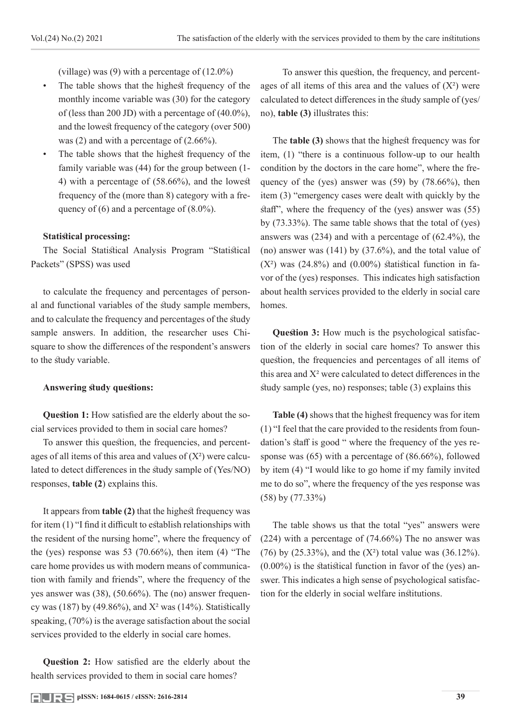(village) was (9) with a percentage of (12.0%)

- The table shows that the highest frequency of the monthly income variable was (30) for the category of (less than 200 JD) with a percentage of (40.0%), and the lowest frequency of the category (over 500) was (2) and with a percentage of  $(2.66\%)$ .
- The table shows that the highest frequency of the family variable was (44) for the group between (1- 4) with a percentage of (58.66%), and the lowest frequency of the (more than 8) category with a frequency of  $(6)$  and a percentage of  $(8.0\%)$ .

#### **Statistical processing:**

The Social Statistical Analysis Program "Statistical Packets" (SPSS) was used

to calculate the frequency and percentages of personal and functional variables of the study sample members, and to calculate the frequency and percentages of the study sample answers. In addition, the researcher uses Chisquare to show the differences of the respondent's answers to the study variable.

#### **Answering study questions:**

**Question 1:** How satisfied are the elderly about the social services provided to them in social care homes?

To answer this question, the frequencies, and percentages of all items of this area and values of  $(X^2)$  were calculated to detect differences in the study sample of (Yes/NO) responses, **table (2**) explains this.

It appears from **table (2)** that the highest frequency was for item (1) "I find it difficult to establish relationships with the resident of the nursing home", where the frequency of the (yes) response was  $53$  (70.66%), then item (4) "The care home provides us with modern means of communication with family and friends", where the frequency of the yes answer was (38), (50.66%). The (no) answer frequency was (187) by (49.86%), and  $X^2$  was (14%). Statistically speaking, (70%) is the average satisfaction about the social services provided to the elderly in social care homes.

**Question 2:** How satisfied are the elderly about the health services provided to them in social care homes?

 To answer this question, the frequency, and percentages of all items of this area and the values of  $(X^2)$  were calculated to detect differences in the study sample of (yes/ no), **table (3)** illustrates this:

The **table (3)** shows that the highest frequency was for item, (1) "there is a continuous follow-up to our health condition by the doctors in the care home", where the frequency of the (yes) answer was (59) by (78.66%), then item (3) "emergency cases were dealt with quickly by the staff", where the frequency of the (yes) answer was (55) by (73.33%). The same table shows that the total of (yes) answers was (234) and with a percentage of (62.4%), the (no) answer was (141) by (37.6%), and the total value of  $(X^2)$  was  $(24.8\%)$  and  $(0.00\%)$  statistical function in favor of the (yes) responses. This indicates high satisfaction about health services provided to the elderly in social care homes.

**Question 3:** How much is the psychological satisfaction of the elderly in social care homes? To answer this question, the frequencies and percentages of all items of this area and  $X<sup>2</sup>$  were calculated to detect differences in the study sample (yes, no) responses; table (3) explains this

**Table (4)** shows that the highest frequency was for item (1) "I feel that the care provided to the residents from foundation's staff is good " where the frequency of the yes response was (65) with a percentage of (86.66%), followed by item (4) "I would like to go home if my family invited me to do so", where the frequency of the yes response was (58) by (77.33%)

The table shows us that the total "yes" answers were (224) with a percentage of (74.66%) The no answer was (76) by (25.33%), and the  $(X^2)$  total value was (36.12%).  $(0.00\%)$  is the statistical function in favor of the (yes) answer. This indicates a high sense of psychological satisfaction for the elderly in social welfare institutions.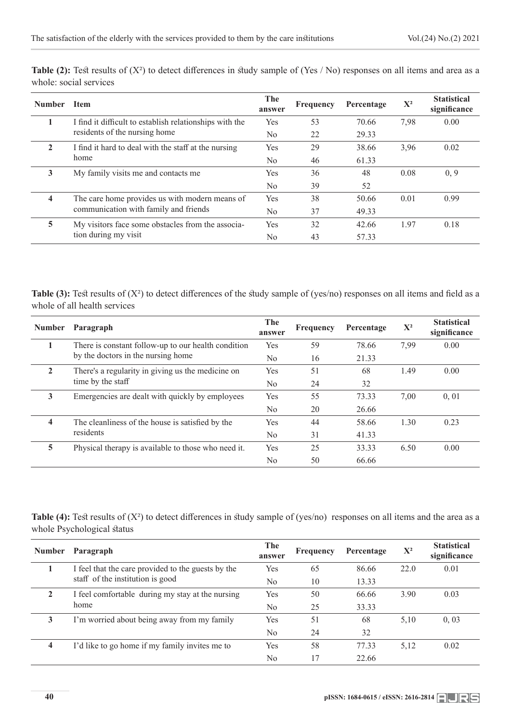| <b>Number</b>           | <b>Item</b>                                                                             | The<br>answer  | Frequency | Percentage | $X^2$ | <b>Statistical</b><br>significance |
|-------------------------|-----------------------------------------------------------------------------------------|----------------|-----------|------------|-------|------------------------------------|
|                         | I find it difficult to establish relationships with the                                 | Yes            | 53        | 70.66      | 7,98  | 0.00                               |
|                         | residents of the nursing home                                                           | No             | 22        | 29.33      |       |                                    |
| $\mathbf{2}$            | I find it hard to deal with the staff at the nursing                                    | <b>Yes</b>     | 29        | 38.66      | 3,96  | 0.02                               |
| home                    |                                                                                         | N <sub>0</sub> | 46        | 61.33      |       |                                    |
| 3                       | My family visits me and contacts me                                                     | Yes            | 36        | 48         | 0.08  | 0, 9                               |
|                         |                                                                                         | N <sub>o</sub> | 39        | 52         |       |                                    |
| $\overline{\mathbf{4}}$ | The care home provides us with modern means of<br>communication with family and friends | Yes            | 38        | 50.66      | 0.01  | 0.99                               |
|                         |                                                                                         | N <sub>0</sub> | 37        | 49.33      |       |                                    |
| 5                       | My visitors face some obstacles from the associa-                                       | Yes            | 32        | 42.66      | 1.97  | 0.18                               |
|                         | tion during my visit                                                                    | N <sub>0</sub> | 43        | 57.33      |       |                                    |

Table (2): Test results of (X<sup>2</sup>) to detect differences in study sample of (Yes / No) responses on all items and area as a whole: social services

**Table (3):** Test results of (X<sup>2</sup>) to detect differences of the study sample of (yes/no) responses on all items and field as a whole of all health services

| <b>Number</b>                      | Paragraph                                                     | The<br>answer  | Frequency | Percentage | $X^2$ | <b>Statistical</b><br>significance |
|------------------------------------|---------------------------------------------------------------|----------------|-----------|------------|-------|------------------------------------|
| 1                                  | There is constant follow-up to our health condition           | Yes            | 59        | 78.66      | 7.99  | 0.00                               |
| by the doctors in the nursing home |                                                               | No.            | 16        | 21.33      |       |                                    |
| 2                                  | There's a regularity in giving us the medicine on             | Yes            | 51        | 68         | 1.49  | 0.00                               |
|                                    | time by the staff                                             | No.            | 24        | 32         |       |                                    |
| 3                                  | Emergencies are dealt with quickly by employees               | <b>Yes</b>     | 55        | 73.33      | 7.00  | 0, 01                              |
|                                    |                                                               | No.            | 20        | 26.66      |       |                                    |
| 4                                  | The cleanliness of the house is satisfied by the<br>residents | Yes            | 44        | 58.66      | 1.30  | 0.23                               |
|                                    |                                                               | N <sub>0</sub> | 31        | 41.33      |       |                                    |
| 5                                  | Physical therapy is available to those who need it.           | Yes            | 25        | 33.33      | 6.50  | 0.00                               |
|                                    |                                                               | No             | 50        | 66.66      |       |                                    |

Table (4): Test results of (X<sup>2</sup>) to detect differences in study sample of (yes/no) responses on all items and the area as a whole Psychological status

| <b>Number</b>        | Paragraph                                          | The<br>answer | Frequency | Percentage | $X^2$ | <b>Statistical</b><br>significance |
|----------------------|----------------------------------------------------|---------------|-----------|------------|-------|------------------------------------|
|                      | I feel that the care provided to the guests by the | Yes           | 65        | 86.66      | 22.0  | 0.01                               |
|                      | staff of the institution is good                   | No            | 10        | 13.33      |       |                                    |
| $\mathbf{2}$<br>home | I feel comfortable during my stay at the nursing   | Yes           | 50        | 66.66      | 3.90  | 0.03                               |
|                      |                                                    | No            | 25        | 33.33      |       |                                    |
| 3                    | I'm worried about being away from my family        | Yes           | 51        | 68         | 5,10  | 0,03                               |
|                      |                                                    | No            | 24        | 32         |       |                                    |
| 4                    | I'd like to go home if my family invites me to     | Yes           | 58        | 77.33      | 5.12  | 0.02                               |
|                      |                                                    | No            | 17        | 22.66      |       |                                    |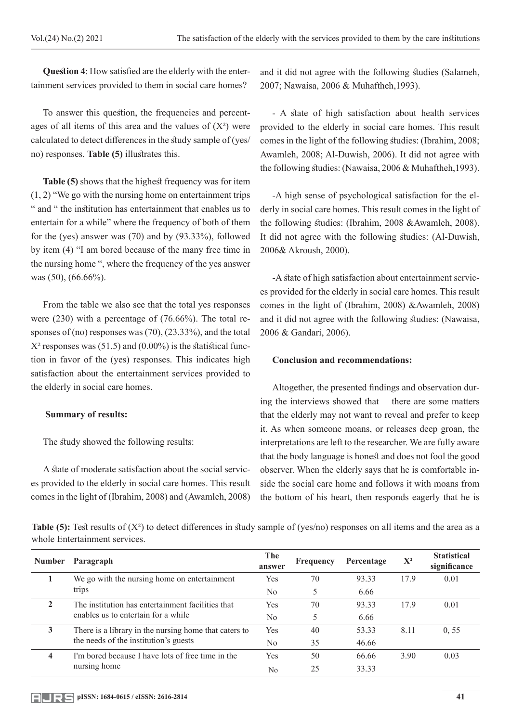**Question 4**: How satisfied are the elderly with the entertainment services provided to them in social care homes?

To answer this question, the frequencies and percentages of all items of this area and the values of  $(X^2)$  were calculated to detect differences in the study sample of (yes/ no) responses. **Table (5)** illustrates this.

**Table (5)** shows that the highest frequency was for item (1, 2) "We go with the nursing home on entertainment trips " and " the institution has entertainment that enables us to entertain for a while" where the frequency of both of them for the (yes) answer was (70) and by (93.33%), followed by item (4) "I am bored because of the many free time in the nursing home ", where the frequency of the yes answer was (50), (66.66%).

From the table we also see that the total yes responses were (230) with a percentage of (76.66%). The total responses of (no) responses was (70), (23.33%), and the total  $X^2$  responses was (51.5) and (0.00%) is the statistical function in favor of the (yes) responses. This indicates high satisfaction about the entertainment services provided to the elderly in social care homes.

## **Summary of results:**

The study showed the following results:

A state of moderate satisfaction about the social services provided to the elderly in social care homes. This result comes in the light of (Ibrahim, 2008) and (Awamleh, 2008) and it did not agree with the following studies (Salameh, 2007; Nawaisa, 2006 & Muhaftheh,1993).

- A state of high satisfaction about health services provided to the elderly in social care homes. This result comes in the light of the following studies: (Ibrahim, 2008; Awamleh, 2008; Al-Duwish, 2006). It did not agree with the following studies: (Nawaisa, 2006 & Muhaftheh,1993).

-A high sense of psychological satisfaction for the elderly in social care homes. This result comes in the light of the following studies: (Ibrahim, 2008 &Awamleh, 2008). It did not agree with the following studies: (Al-Duwish, 2006& Akroush, 2000).

-A state of high satisfaction about entertainment services provided for the elderly in social care homes. This result comes in the light of (Ibrahim, 2008) &Awamleh, 2008) and it did not agree with the following studies: (Nawaisa, 2006 & Gandari, 2006).

#### **Conclusion and recommendations:**

Altogether, the presented findings and observation during the interviews showed that there are some matters that the elderly may not want to reveal and prefer to keep it. As when someone moans, or releases deep groan, the interpretations are left to the researcher. We are fully aware that the body language is honest and does not fool the good observer. When the elderly says that he is comfortable inside the social care home and follows it with moans from the bottom of his heart, then responds eagerly that he is

**Table (5):** Test results of (X<sup>2</sup>) to detect differences in study sample of (yes/no) responses on all items and the area as a whole Entertainment services.

| <b>Number</b>           | Paragraph                                                                                      | The<br>answer | Frequency | Percentage | $X^2$ | <b>Statistical</b><br>significance |
|-------------------------|------------------------------------------------------------------------------------------------|---------------|-----------|------------|-------|------------------------------------|
|                         | We go with the nursing home on entertainment                                                   | Yes           | 70        | 93.33      | 17.9  | 0.01                               |
| trips                   |                                                                                                | No            |           | 6.66       |       |                                    |
| $\mathbf{2}$            | The institution has entertainment facilities that                                              | Yes           | 70        | 93.33      | 17.9  | 0.01                               |
|                         | enables us to entertain for a while                                                            | No            |           | 6.66       |       |                                    |
| 3                       | There is a library in the nursing home that caters to<br>the needs of the institution's guests | Yes           | 40        | 53.33      | 8.11  | 0.55                               |
|                         |                                                                                                | No            | 35        | 46.66      |       |                                    |
| $\overline{\mathbf{4}}$ | I'm bored because I have lots of free time in the<br>nursing home                              | Yes           | 50        | 66.66      | 3.90  | 0.03                               |
|                         |                                                                                                | No            | 25        | 33.33      |       |                                    |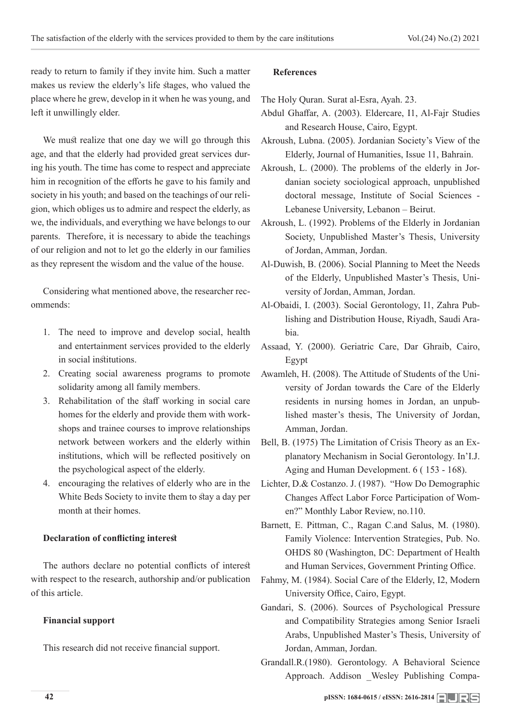ready to return to family if they invite him. Such a matter makes us review the elderly's life stages, who valued the place where he grew, develop in it when he was young, and left it unwillingly elder.

We must realize that one day we will go through this age, and that the elderly had provided great services during his youth. The time has come to respect and appreciate him in recognition of the efforts he gave to his family and society in his youth; and based on the teachings of our religion, which obliges us to admire and respect the elderly, as we, the individuals, and everything we have belongs to our parents. Therefore, it is necessary to abide the teachings of our religion and not to let go the elderly in our families as they represent the wisdom and the value of the house.

Considering what mentioned above, the researcher recommends:

- 1. The need to improve and develop social, health and entertainment services provided to the elderly in social institutions.
- 2. Creating social awareness programs to promote solidarity among all family members.
- 3. Rehabilitation of the staff working in social care homes for the elderly and provide them with workshops and trainee courses to improve relationships network between workers and the elderly within institutions, which will be reflected positively on the psychological aspect of the elderly.
- 4. encouraging the relatives of elderly who are in the White Beds Society to invite them to stay a day per month at their homes.

#### **Declaration of conflicting interest**

The authors declare no potential conflicts of interest with respect to the research, authorship and/or publication of this article.

#### **Financial support**

This research did not receive financial support.

#### **References**

The Holy Quran. Surat al-Esra, Ayah. 23.

- Abdul Ghaffar, A. (2003). Eldercare, I1, Al-Fajr Studies and Research House, Cairo, Egypt.
- Akroush, Lubna. (2005). Jordanian Society's View of the Elderly, Journal of Humanities, Issue 11, Bahrain.
- Akroush, L. (2000). The problems of the elderly in Jordanian society sociological approach, unpublished doctoral message, Institute of Social Sciences - Lebanese University, Lebanon – Beirut.
- Akroush, L. (1992). Problems of the Elderly in Jordanian Society, Unpublished Master's Thesis, University of Jordan, Amman, Jordan.
- Al-Duwish, B. (2006). Social Planning to Meet the Needs of the Elderly, Unpublished Master's Thesis, University of Jordan, Amman, Jordan.
- Al-Obaidi, I. (2003). Social Gerontology, I1, Zahra Publishing and Distribution House, Riyadh, Saudi Arabia.
- Assaad, Y. (2000). Geriatric Care, Dar Ghraib, Cairo, Egypt
- Awamleh, H. (2008). The Attitude of Students of the University of Jordan towards the Care of the Elderly residents in nursing homes in Jordan, an unpublished master's thesis, The University of Jordan, Amman, Jordan.
- Bell, B. (1975) The Limitation of Crisis Theory as an Explanatory Mechanism in Social Gerontology. In'I.J. Aging and Human Development. 6 ( 153 - 168).
- Lichter, D.& Costanzo. J. (1987). "How Do Demographic Changes Affect Labor Force Participation of Women?" Monthly Labor Review, no.110.
- Barnett, E. Pittman, C., Ragan C.and Salus, M. (1980). Family Violence: Intervention Strategies, Pub. No. OHDS 80 (Washington, DC: Department of Health and Human Services, Government Printing Office.
- Fahmy, M. (1984). Social Care of the Elderly, I2, Modern University Office, Cairo, Egypt.
- Gandari, S. (2006). Sources of Psychological Pressure and Compatibility Strategies among Senior Israeli Arabs, Unpublished Master's Thesis, University of Jordan, Amman, Jordan.
- Grandall.R.(1980). Gerontology. A Behavioral Science Approach. Addison Wesley Publishing Compa-